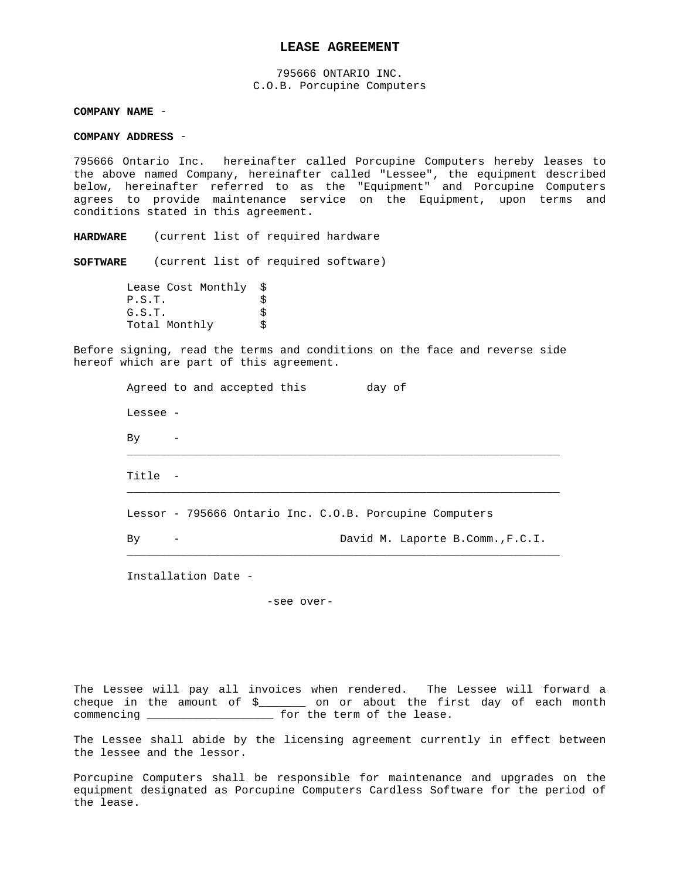## **LEASE AGREEMENT**

795666 ONTARIO INC. C.O.B. Porcupine Computers

**COMPANY NAME** -

**COMPANY ADDRESS** -

795666 Ontario Inc. hereinafter called Porcupine Computers hereby leases to the above named Company, hereinafter called "Lessee", the equipment described below, hereinafter referred to as the "Equipment" and Porcupine Computers agrees to provide maintenance service on the Equipment, upon terms and conditions stated in this agreement.

**HARDWARE** (current list of required hardware

**SOFTWARE** (current list of required software)

 Lease Cost Monthly \$  $P.S.T.$  $G.S.T.$ Total Monthly \$

Before signing, read the terms and conditions on the face and reverse side hereof which are part of this agreement.

|          | Agreed to and accepted this | day of                                                  |
|----------|-----------------------------|---------------------------------------------------------|
| Lessee - |                             |                                                         |
| By       |                             |                                                         |
| Title -  |                             |                                                         |
|          |                             | Lessor - 795666 Ontario Inc. C.O.B. Porcupine Computers |
| By       |                             | David M. Laporte B.Comm., F.C.I.                        |

Installation Date -

-see over-

The Lessee will pay all invoices when rendered. The Lessee will forward a cheque in the amount of \$\_\_\_\_\_\_\_ on or about the first day of each month commencing \_\_\_\_\_\_\_\_\_\_\_\_\_\_\_\_\_\_\_ for the term of the lease.

The Lessee shall abide by the licensing agreement currently in effect between the lessee and the lessor.

Porcupine Computers shall be responsible for maintenance and upgrades on the equipment designated as Porcupine Computers Cardless Software for the period of the lease.